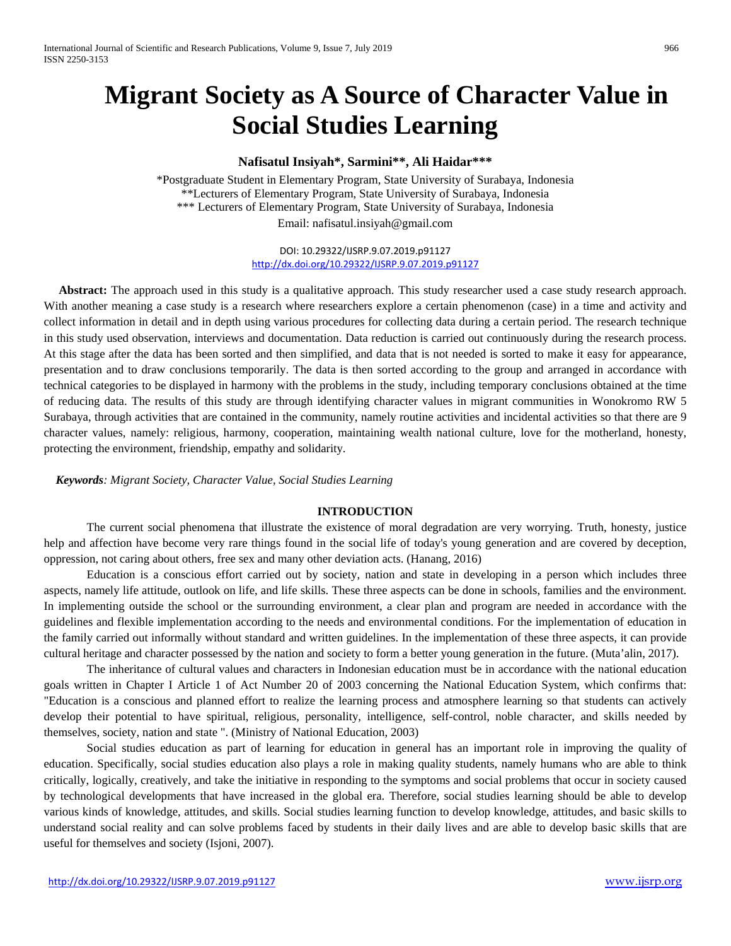# **Migrant Society as A Source of Character Value in Social Studies Learning**

## **Nafisatul Insiyah\*, Sarmini\*\*, Ali Haidar\*\*\***

\*Postgraduate Student in Elementary Program, State University of Surabaya, Indonesia \*\*Lecturers of Elementary Program, State University of Surabaya, Indonesia \*\*\* Lecturers of Elementary Program, State University of Surabaya, Indonesia Email: [nafisatul.insiyah@gmail.com](mailto:nafisatul.insiyah@gmail.com)

> DOI: 10.29322/IJSRP.9.07.2019.p91127 <http://dx.doi.org/10.29322/IJSRP.9.07.2019.p91127>

Abstract: The approach used in this study is a qualitative approach. This study researcher used a case study research approach. With another meaning a case study is a research where researchers explore a certain phenomenon (case) in a time and activity and collect information in detail and in depth using various procedures for collecting data during a certain period. The research technique in this study used observation, interviews and documentation. Data reduction is carried out continuously during the research process. At this stage after the data has been sorted and then simplified, and data that is not needed is sorted to make it easy for appearance, presentation and to draw conclusions temporarily. The data is then sorted according to the group and arranged in accordance with technical categories to be displayed in harmony with the problems in the study, including temporary conclusions obtained at the time of reducing data. The results of this study are through identifying character values in migrant communities in Wonokromo RW 5 Surabaya, through activities that are contained in the community, namely routine activities and incidental activities so that there are 9 character values, namely: religious, harmony, cooperation, maintaining wealth national culture, love for the motherland, honesty, protecting the environment, friendship, empathy and solidarity.

 *Keywords: Migrant Society, Character Value, Social Studies Learning*

## **INTRODUCTION**

The current social phenomena that illustrate the existence of moral degradation are very worrying. Truth, honesty, justice help and affection have become very rare things found in the social life of today's young generation and are covered by deception, oppression, not caring about others, free sex and many other deviation acts. (Hanang, 2016)

Education is a conscious effort carried out by society, nation and state in developing in a person which includes three aspects, namely life attitude, outlook on life, and life skills. These three aspects can be done in schools, families and the environment. In implementing outside the school or the surrounding environment, a clear plan and program are needed in accordance with the guidelines and flexible implementation according to the needs and environmental conditions. For the implementation of education in the family carried out informally without standard and written guidelines. In the implementation of these three aspects, it can provide cultural heritage and character possessed by the nation and society to form a better young generation in the future. (Muta'alin, 2017).

The inheritance of cultural values and characters in Indonesian education must be in accordance with the national education goals written in Chapter I Article 1 of Act Number 20 of 2003 concerning the National Education System, which confirms that: "Education is a conscious and planned effort to realize the learning process and atmosphere learning so that students can actively develop their potential to have spiritual, religious, personality, intelligence, self-control, noble character, and skills needed by themselves, society, nation and state ". (Ministry of National Education, 2003)

Social studies education as part of learning for education in general has an important role in improving the quality of education. Specifically, social studies education also plays a role in making quality students, namely humans who are able to think critically, logically, creatively, and take the initiative in responding to the symptoms and social problems that occur in society caused by technological developments that have increased in the global era. Therefore, social studies learning should be able to develop various kinds of knowledge, attitudes, and skills. Social studies learning function to develop knowledge, attitudes, and basic skills to understand social reality and can solve problems faced by students in their daily lives and are able to develop basic skills that are useful for themselves and society (Isjoni, 2007).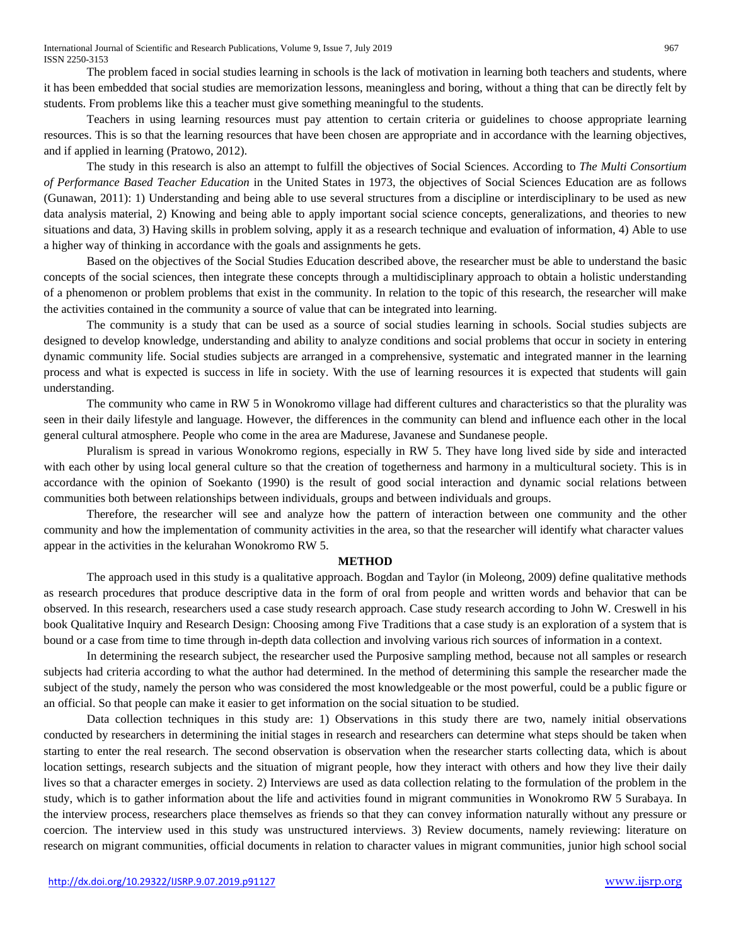The problem faced in social studies learning in schools is the lack of motivation in learning both teachers and students, where it has been embedded that social studies are memorization lessons, meaningless and boring, without a thing that can be directly felt by students. From problems like this a teacher must give something meaningful to the students.

Teachers in using learning resources must pay attention to certain criteria or guidelines to choose appropriate learning resources. This is so that the learning resources that have been chosen are appropriate and in accordance with the learning objectives, and if applied in learning (Pratowo, 2012).

The study in this research is also an attempt to fulfill the objectives of Social Sciences. According to *The Multi Consortium of Performance Based Teacher Education* in the United States in 1973, the objectives of Social Sciences Education are as follows (Gunawan, 2011): 1) Understanding and being able to use several structures from a discipline or interdisciplinary to be used as new data analysis material, 2) Knowing and being able to apply important social science concepts, generalizations, and theories to new situations and data, 3) Having skills in problem solving, apply it as a research technique and evaluation of information, 4) Able to use a higher way of thinking in accordance with the goals and assignments he gets.

Based on the objectives of the Social Studies Education described above, the researcher must be able to understand the basic concepts of the social sciences, then integrate these concepts through a multidisciplinary approach to obtain a holistic understanding of a phenomenon or problem problems that exist in the community. In relation to the topic of this research, the researcher will make the activities contained in the community a source of value that can be integrated into learning.

The community is a study that can be used as a source of social studies learning in schools. Social studies subjects are designed to develop knowledge, understanding and ability to analyze conditions and social problems that occur in society in entering dynamic community life. Social studies subjects are arranged in a comprehensive, systematic and integrated manner in the learning process and what is expected is success in life in society. With the use of learning resources it is expected that students will gain understanding.

The community who came in RW 5 in Wonokromo village had different cultures and characteristics so that the plurality was seen in their daily lifestyle and language. However, the differences in the community can blend and influence each other in the local general cultural atmosphere. People who come in the area are Madurese, Javanese and Sundanese people.

Pluralism is spread in various Wonokromo regions, especially in RW 5. They have long lived side by side and interacted with each other by using local general culture so that the creation of togetherness and harmony in a multicultural society. This is in accordance with the opinion of Soekanto (1990) is the result of good social interaction and dynamic social relations between communities both between relationships between individuals, groups and between individuals and groups.

Therefore, the researcher will see and analyze how the pattern of interaction between one community and the other community and how the implementation of community activities in the area, so that the researcher will identify what character values appear in the activities in the kelurahan Wonokromo RW 5.

### **METHOD**

The approach used in this study is a qualitative approach. Bogdan and Taylor (in Moleong, 2009) define qualitative methods as research procedures that produce descriptive data in the form of oral from people and written words and behavior that can be observed. In this research, researchers used a case study research approach. Case study research according to John W. Creswell in his book Qualitative Inquiry and Research Design: Choosing among Five Traditions that a case study is an exploration of a system that is bound or a case from time to time through in-depth data collection and involving various rich sources of information in a context.

In determining the research subject, the researcher used the Purposive sampling method, because not all samples or research subjects had criteria according to what the author had determined. In the method of determining this sample the researcher made the subject of the study, namely the person who was considered the most knowledgeable or the most powerful, could be a public figure or an official. So that people can make it easier to get information on the social situation to be studied.

Data collection techniques in this study are: 1) Observations in this study there are two, namely initial observations conducted by researchers in determining the initial stages in research and researchers can determine what steps should be taken when starting to enter the real research. The second observation is observation when the researcher starts collecting data, which is about location settings, research subjects and the situation of migrant people, how they interact with others and how they live their daily lives so that a character emerges in society. 2) Interviews are used as data collection relating to the formulation of the problem in the study, which is to gather information about the life and activities found in migrant communities in Wonokromo RW 5 Surabaya. In the interview process, researchers place themselves as friends so that they can convey information naturally without any pressure or coercion. The interview used in this study was unstructured interviews. 3) Review documents, namely reviewing: literature on research on migrant communities, official documents in relation to character values in migrant communities, junior high school social